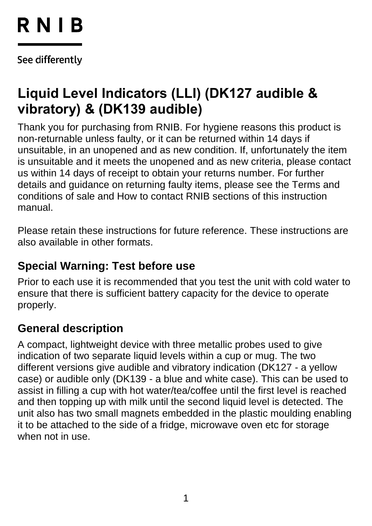# RNIB

See differently

## **Liquid Level Indicators (LLI) (DK127 audible & vibratory) & (DK139 audible)**

Thank you for purchasing from RNIB. For hygiene reasons this product is non-returnable unless faulty, or it can be returned within 14 days if unsuitable, in an unopened and as new condition. If, unfortunately the item is unsuitable and it meets the unopened and as new criteria, please contact us within 14 days of receipt to obtain your returns number. For further details and guidance on returning faulty items, please see the Terms and conditions of sale and How to contact RNIB sections of this instruction manual.

Please retain these instructions for future reference. These instructions are also available in other formats.

## **Special Warning: Test before use**

Prior to each use it is recommended that you test the unit with cold water to ensure that there is sufficient battery capacity for the device to operate properly.

## **General description**

A compact, lightweight device with three metallic probes used to give indication of two separate liquid levels within a cup or mug. The two different versions give audible and vibratory indication (DK127 - a yellow case) or audible only (DK139 - a blue and white case). This can be used to assist in filling a cup with hot water/tea/coffee until the first level is reached and then topping up with milk until the second liquid level is detected. The unit also has two small magnets embedded in the plastic moulding enabling it to be attached to the side of a fridge, microwave oven etc for storage when not in use.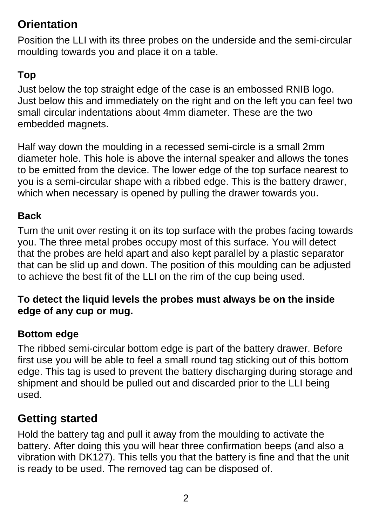## **Orientation**

Position the LLI with its three probes on the underside and the semi-circular moulding towards you and place it on a table.

## **Top**

Just below the top straight edge of the case is an embossed RNIB logo. Just below this and immediately on the right and on the left you can feel two small circular indentations about 4mm diameter. These are the two embedded magnets.

Half way down the moulding in a recessed semi-circle is a small 2mm diameter hole. This hole is above the internal speaker and allows the tones to be emitted from the device. The lower edge of the top surface nearest to you is a semi-circular shape with a ribbed edge. This is the battery drawer, which when necessary is opened by pulling the drawer towards you.

### **Back**

Turn the unit over resting it on its top surface with the probes facing towards you. The three metal probes occupy most of this surface. You will detect that the probes are held apart and also kept parallel by a plastic separator that can be slid up and down. The position of this moulding can be adjusted to achieve the best fit of the LLI on the rim of the cup being used.

#### **To detect the liquid levels the probes must always be on the inside edge of any cup or mug.**

### **Bottom edge**

The ribbed semi-circular bottom edge is part of the battery drawer. Before first use you will be able to feel a small round tag sticking out of this bottom edge. This tag is used to prevent the battery discharging during storage and shipment and should be pulled out and discarded prior to the LLI being used.

## **Getting started**

Hold the battery tag and pull it away from the moulding to activate the battery. After doing this you will hear three confirmation beeps (and also a vibration with DK127). This tells you that the battery is fine and that the unit is ready to be used. The removed tag can be disposed of.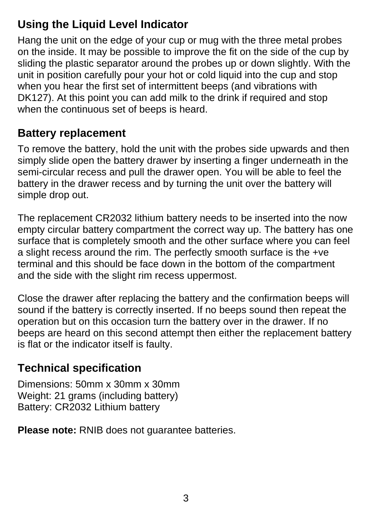## **Using the Liquid Level Indicator**

Hang the unit on the edge of your cup or mug with the three metal probes on the inside. It may be possible to improve the fit on the side of the cup by sliding the plastic separator around the probes up or down slightly. With the unit in position carefully pour your hot or cold liquid into the cup and stop when you hear the first set of intermittent beeps (and vibrations with DK127). At this point you can add milk to the drink if required and stop when the continuous set of beeps is heard.

## **Battery replacement**

To remove the battery, hold the unit with the probes side upwards and then simply slide open the battery drawer by inserting a finger underneath in the semi-circular recess and pull the drawer open. You will be able to feel the battery in the drawer recess and by turning the unit over the battery will simple drop out.

The replacement CR2032 lithium battery needs to be inserted into the now empty circular battery compartment the correct way up. The battery has one surface that is completely smooth and the other surface where you can feel a slight recess around the rim. The perfectly smooth surface is the +ve terminal and this should be face down in the bottom of the compartment and the side with the slight rim recess uppermost.

Close the drawer after replacing the battery and the confirmation beeps will sound if the battery is correctly inserted. If no beeps sound then repeat the operation but on this occasion turn the battery over in the drawer. If no beeps are heard on this second attempt then either the replacement battery is flat or the indicator itself is faulty.

## **Technical specification**

Dimensions: 50mm x 30mm x 30mm Weight: 21 grams (including battery) Battery: CR2032 Lithium battery

**Please note:** RNIB does not guarantee batteries.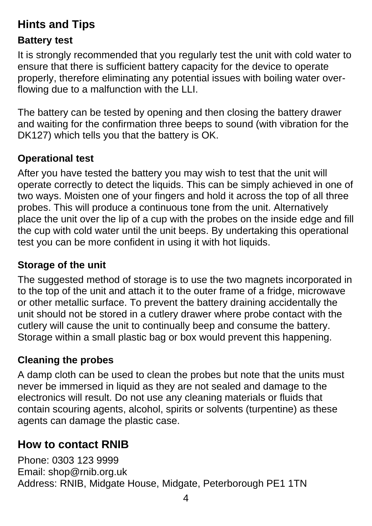## **Hints and Tips**

#### **Battery test**

It is strongly recommended that you regularly test the unit with cold water to ensure that there is sufficient battery capacity for the device to operate properly, therefore eliminating any potential issues with boiling water overflowing due to a malfunction with the LLI.

The battery can be tested by opening and then closing the battery drawer and waiting for the confirmation three beeps to sound (with vibration for the DK127) which tells you that the battery is OK.

### **Operational test**

After you have tested the battery you may wish to test that the unit will operate correctly to detect the liquids. This can be simply achieved in one of two ways. Moisten one of your fingers and hold it across the top of all three probes. This will produce a continuous tone from the unit. Alternatively place the unit over the lip of a cup with the probes on the inside edge and fill the cup with cold water until the unit beeps. By undertaking this operational test you can be more confident in using it with hot liquids.

#### **Storage of the unit**

The suggested method of storage is to use the two magnets incorporated in to the top of the unit and attach it to the outer frame of a fridge, microwave or other metallic surface. To prevent the battery draining accidentally the unit should not be stored in a cutlery drawer where probe contact with the cutlery will cause the unit to continually beep and consume the battery. Storage within a small plastic bag or box would prevent this happening.

#### **Cleaning the probes**

A damp cloth can be used to clean the probes but note that the units must never be immersed in liquid as they are not sealed and damage to the electronics will result. Do not use any cleaning materials or fluids that contain scouring agents, alcohol, spirits or solvents (turpentine) as these agents can damage the plastic case.

### **How to contact RNIB**

Phone: 0303 123 9999 Email: shop@rnib.org.uk Address: RNIB, Midgate House, Midgate, Peterborough PE1 1TN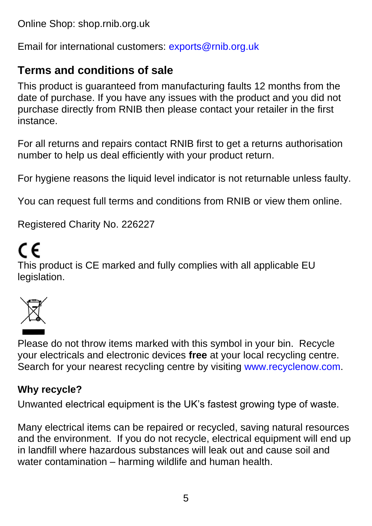Online Shop: shop.rnib.org.uk

Email for international customers: [exports@rnib.org.uk](mailto:exports@rnib.org.uk)

## **Terms and conditions of sale**

This product is guaranteed from manufacturing faults 12 months from the date of purchase. If you have any issues with the product and you did not purchase directly from RNIB then please contact your retailer in the first instance.

For all returns and repairs contact RNIB first to get a returns authorisation number to help us deal efficiently with your product return.

For hygiene reasons the liquid level indicator is not returnable unless faulty.

You can request full terms and conditions from RNIB or view them online.

Registered Charity No. 226227

## CE

This product is CE marked and fully complies with all applicable EU legislation.



Please do not throw items marked with this symbol in your bin. Recycle your electricals and electronic devices **free** at your local recycling centre. Search for your nearest recycling centre by visiting [www.recyclenow.com.](http://www.recyclenow.com/)

#### **Why recycle?**

Unwanted electrical equipment is the UK's fastest growing type of waste.

Many electrical items can be repaired or recycled, saving natural resources and the environment. If you do not recycle, electrical equipment will end up in landfill where hazardous substances will leak out and cause soil and water contamination – harming wildlife and human health.